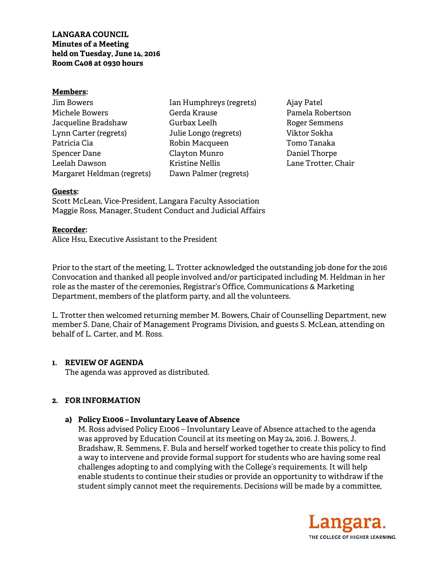**LANGARA COUNCIL Minutes of a Meeting held on Tuesday, June 14, 2016 Room C408 at 0930 hours** 

#### **Members:**

| Jim Bowers                 |  |
|----------------------------|--|
| Michele Bowers             |  |
| Jacqueline Bradshaw        |  |
| Lynn Carter (regrets)      |  |
| Patricia Cia               |  |
| Spencer Dane               |  |
| Leelah Dawson              |  |
| Margaret Heldman (regrets) |  |

Ian Humphreys (regrets) Gerda Krause Gurbax Leelh Julie Longo (regrets) Robin Macqueen Clayton Munro Kristine Nellis Dawn Palmer (regrets)

Ajay Patel Pamela Robertson Roger Semmens Viktor Sokha Tomo Tanaka Daniel Thorpe Lane Trotter, Chair

### **Guests:**

Scott McLean, Vice-President, Langara Faculty Association Maggie Ross, Manager, Student Conduct and Judicial Affairs

#### **Recorder:**

Alice Hsu, Executive Assistant to the President

Prior to the start of the meeting, L. Trotter acknowledged the outstanding job done for the 2016 Convocation and thanked all people involved and/or participated including M. Heldman in her role as the master of the ceremonies, Registrar's Office, Communications & Marketing Department, members of the platform party, and all the volunteers.

L. Trotter then welcomed returning member M. Bowers, Chair of Counselling Department, new member S. Dane, Chair of Management Programs Division, and guests S. McLean, attending on behalf of L. Carter, and M. Ross.

### **1. REVIEW OF AGENDA**

The agenda was approved as distributed.

### **2. FOR INFORMATION**

### **a) Policy E1006 – Involuntary Leave of Absence**

M. Ross advised Policy E1006 – Involuntary Leave of Absence attached to the agenda was approved by Education Council at its meeting on May 24, 2016. J. Bowers, J. Bradshaw, R. Semmens, F. Bula and herself worked together to create this policy to find a way to intervene and provide formal support for students who are having some real challenges adopting to and complying with the College's requirements. It will help enable students to continue their studies or provide an opportunity to withdraw if the student simply cannot meet the requirements. Decisions will be made by a committee,

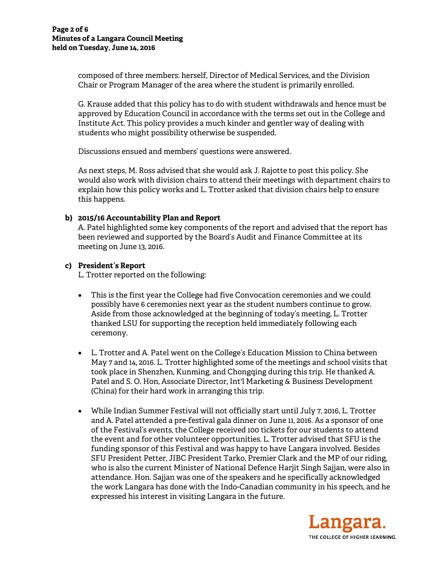composed of three members: herself, Director of Medical Services, and the Division Chair or Program Manager of the area where the student is primarily enrolled.

G. Krause added that this policy has to do with student withdrawals and hence must be approved by Education Council in accordance with the terms set out in the College and Institute Act. This policy provides a much kinder and gentler way of dealing with students who might possibility otherwise be suspended.

Discussions ensued and members' questions were answered.

As next steps, M. Ross advised that she would ask J. Rajotte to post this policy. She would also work with division chairs to attend their meetings with department chairs to explain how this policy works and L. Trotter asked that division chairs help to ensure this happens.

## **b) 2015/16 Accountability Plan and Report**

A. Patel highlighted some key components of the report and advised that the report has been reviewed and supported by the Board's Audit and Finance Committee at its meeting on June 13, 2016.

### **c) President's Report**

L. Trotter reported on the following:

- This is the first year the College had five Convocation ceremonies and we could possibly have 6 ceremonies next year as the student numbers continue to grow. Aside from those acknowledged at the beginning of today's meeting, L. Trotter thanked LSU for supporting the reception held immediately following each ceremony.
- L. Trotter and A. Patel went on the College's Education Mission to China between May 7 and 14, 2016. L. Trotter highlighted some of the meetings and school visits that took place in Shenzhen, Kunming, and Chongqing during this trip. He thanked A. Patel and S. O. Hon, Associate Director, Int'l Marketing & Business Development (China) for their hard work in arranging this trip.
- While Indian Summer Festival will not officially start until July 7, 2016, L. Trotter and A. Patel attended a pre-festival gala dinner on June 11, 2016. As a sponsor of one of the Festival's events, the College received 100 tickets for our students to attend the event and for other volunteer opportunities. L. Trotter advised that SFU is the funding sponsor of this Festival and was happy to have Langara involved. Besides SFU President Petter, JIBC President Tarko, Premier Clark and the MP of our riding, who is also the current Minister of National Defence Harjit Singh Sajjan, were also in attendance. Hon. Sajjan was one of the speakers and he specifically acknowledged the work Langara has done with the Indo-Canadian community in his speech, and he expressed his interest in visiting Langara in the future.

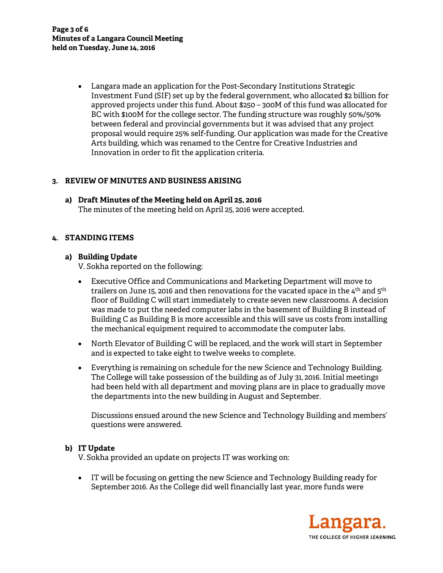Langara made an application for the Post-Secondary Institutions Strategic Investment Fund (SIF) set up by the federal government, who allocated \$2 billion for approved projects under this fund. About \$250 – 300M of this fund was allocated for BC with \$100M for the college sector. The funding structure was roughly 50%/50% between federal and provincial governments but it was advised that any project proposal would require 25% self-funding. Our application was made for the Creative Arts building, which was renamed to the Centre for Creative Industries and Innovation in order to fit the application criteria.

# **3. REVIEW OF MINUTES AND BUSINESS ARISING**

**a) Draft Minutes of the Meeting held on April 25, 2016**  The minutes of the meeting held on April 25, 2016 were accepted.

## **4. STANDING ITEMS**

## **a) Building Update**

V. Sokha reported on the following:

- Executive Office and Communications and Marketing Department will move to trailers on June 15, 2016 and then renovations for the vacated space in the  $4^{\text{th}}$  and  $5^{\text{th}}$ floor of Building C will start immediately to create seven new classrooms. A decision was made to put the needed computer labs in the basement of Building B instead of Building C as Building B is more accessible and this will save us costs from installing the mechanical equipment required to accommodate the computer labs.
- North Elevator of Building C will be replaced, and the work will start in September and is expected to take eight to twelve weeks to complete.
- Everything is remaining on schedule for the new Science and Technology Building. The College will take possession of the building as of July 31, 2016. Initial meetings had been held with all department and moving plans are in place to gradually move the departments into the new building in August and September.

Discussions ensued around the new Science and Technology Building and members' questions were answered.

## **b) IT Update**

V. Sokha provided an update on projects IT was working on:

 IT will be focusing on getting the new Science and Technology Building ready for September 2016. As the College did well financially last year, more funds were

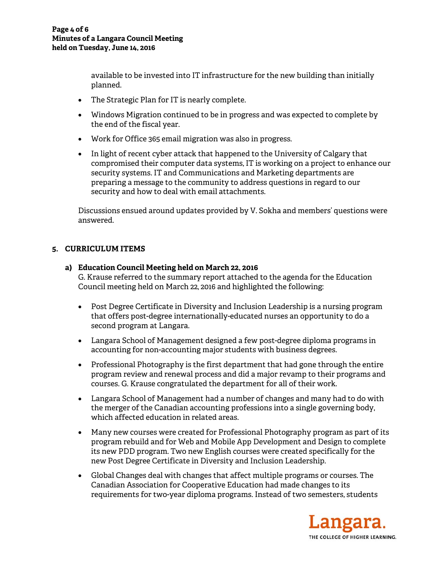available to be invested into IT infrastructure for the new building than initially planned.

- The Strategic Plan for IT is nearly complete.
- Windows Migration continued to be in progress and was expected to complete by the end of the fiscal year.
- Work for Office 365 email migration was also in progress.
- In light of recent cyber attack that happened to the University of Calgary that compromised their computer data systems, IT is working on a project to enhance our security systems. IT and Communications and Marketing departments are preparing a message to the community to address questions in regard to our security and how to deal with email attachments.

Discussions ensued around updates provided by V. Sokha and members' questions were answered.

# **5. CURRICULUM ITEMS**

## **a) Education Council Meeting held on March 22, 2016**

G. Krause referred to the summary report attached to the agenda for the Education Council meeting held on March 22, 2016 and highlighted the following:

- Post Degree Certificate in Diversity and Inclusion Leadership is a nursing program that offers post-degree internationally-educated nurses an opportunity to do a second program at Langara.
- Langara School of Management designed a few post-degree diploma programs in accounting for non-accounting major students with business degrees.
- Professional Photography is the first department that had gone through the entire program review and renewal process and did a major revamp to their programs and courses. G. Krause congratulated the department for all of their work.
- Langara School of Management had a number of changes and many had to do with the merger of the Canadian accounting professions into a single governing body, which affected education in related areas.
- Many new courses were created for Professional Photography program as part of its program rebuild and for Web and Mobile App Development and Design to complete its new PDD program. Two new English courses were created specifically for the new Post Degree Certificate in Diversity and Inclusion Leadership.
- Global Changes deal with changes that affect multiple programs or courses. The Canadian Association for Cooperative Education had made changes to its requirements for two-year diploma programs. Instead of two semesters, students

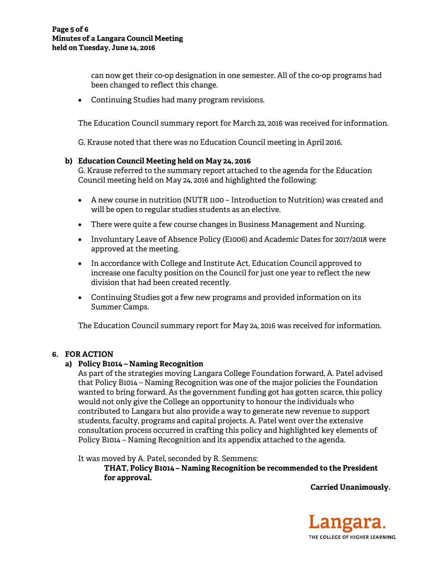can now get their co-op designation in one semester. All of the co-op programs had been changed to reflect this change.

Continuing Studies had many program revisions.

The Education Council summary report for March 22, 2016 was received for information.

G. Krause noted that there was no Education Council meeting in April 2016.

### **b) Education Council Meeting held on May 24, 2016**

G. Krause referred to the summary report attached to the agenda for the Education Council meeting held on May 24, 2016 and highlighted the following:

- A new course in nutrition (NUTR 1100 Introduction to Nutrition) was created and will be open to regular studies students as an elective.
- There were quite a few course changes in Business Management and Nursing.
- Involuntary Leave of Absence Policy (E1006) and Academic Dates for 2017/2018 were approved at the meeting.
- In accordance with College and Institute Act, Education Council approved to increase one faculty position on the Council for just one year to reflect the new division that had been created recently.
- Continuing Studies got a few new programs and provided information on its Summer Camps.

The Education Council summary report for May 24, 2016 was received for information.

### **6. FOR ACTION**

### **a) Policy B1014 – Naming Recognition**

As part of the strategies moving Langara College Foundation forward, A. Patel advised that Policy B1014 – Naming Recognition was one of the major policies the Foundation wanted to bring forward. As the government funding got has gotten scarce, this policy would not only give the College an opportunity to honour the individuals who contributed to Langara but also provide a way to generate new revenue to support students, faculty, programs and capital projects. A. Patel went over the extensive consultation process occurred in crafting this policy and highlighted key elements of Policy B1014 – Naming Recognition and its appendix attached to the agenda.

It was moved by A. Patel, seconded by R. Semmens:

**THAT, Policy B1014 – Naming Recognition be recommended to the President for approval.** 

**Carried Unanimously.**